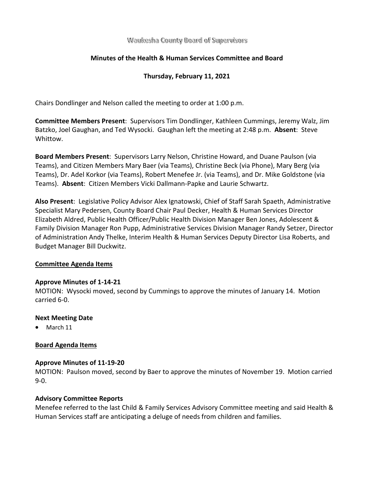Waukesha County Board of Supervisors

# **Minutes of the Health & Human Services Committee and Board**

# **Thursday, February 11, 2021**

Chairs Dondlinger and Nelson called the meeting to order at 1:00 p.m.

**Committee Members Present**: Supervisors Tim Dondlinger, Kathleen Cummings, Jeremy Walz, Jim Batzko, Joel Gaughan, and Ted Wysocki. Gaughan left the meeting at 2:48 p.m. **Absent**: Steve Whittow.

**Board Members Present**: Supervisors Larry Nelson, Christine Howard, and Duane Paulson (via Teams), and Citizen Members Mary Baer (via Teams), Christine Beck (via Phone), Mary Berg (via Teams), Dr. Adel Korkor (via Teams), Robert Menefee Jr. (via Teams), and Dr. Mike Goldstone (via Teams). **Absent**: Citizen Members Vicki Dallmann-Papke and Laurie Schwartz.

**Also Present**: Legislative Policy Advisor Alex Ignatowski, Chief of Staff Sarah Spaeth, Administrative Specialist Mary Pedersen, County Board Chair Paul Decker, Health & Human Services Director Elizabeth Aldred, Public Health Officer/Public Health Division Manager Ben Jones, Adolescent & Family Division Manager Ron Pupp, Administrative Services Division Manager Randy Setzer, Director of Administration Andy Thelke, Interim Health & Human Services Deputy Director Lisa Roberts, and Budget Manager Bill Duckwitz.

# **Committee Agenda Items**

### **Approve Minutes of 1-14-21**

MOTION: Wysocki moved, second by Cummings to approve the minutes of January 14. Motion carried 6-0.

### **Next Meeting Date**

• March 11

# **Board Agenda Items**

### **Approve Minutes of 11-19-20**

MOTION: Paulson moved, second by Baer to approve the minutes of November 19. Motion carried 9-0.

# **Advisory Committee Reports**

Menefee referred to the last Child & Family Services Advisory Committee meeting and said Health & Human Services staff are anticipating a deluge of needs from children and families.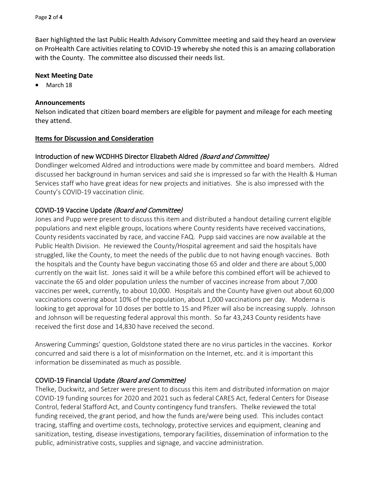Baer highlighted the last Public Health Advisory Committee meeting and said they heard an overview on ProHealth Care activities relating to COVID-19 whereby she noted this is an amazing collaboration with the County. The committee also discussed their needs list.

## **Next Meeting Date**

• March 18

## **Announcements**

Nelson indicated that citizen board members are eligible for payment and mileage for each meeting they attend.

## **Items for Discussion and Consideration**

# Introduction of new WCDHHS Director Elizabeth Aldred (Board and Committee)

Dondlinger welcomed Aldred and introductions were made by committee and board members. Aldred discussed her background in human services and said she is impressed so far with the Health & Human Services staff who have great ideas for new projects and initiatives. She is also impressed with the County's COVID-19 vaccination clinic.

# COVID-19 Vaccine Update (Board and Committee)

Jones and Pupp were present to discuss this item and distributed a handout detailing current eligible populations and next eligible groups, locations where County residents have received vaccinations, County residents vaccinated by race, and vaccine FAQ. Pupp said vaccines are now available at the Public Health Division. He reviewed the County/Hospital agreement and said the hospitals have struggled, like the County, to meet the needs of the public due to not having enough vaccines. Both the hospitals and the County have begun vaccinating those 65 and older and there are about 5,000 currently on the wait list. Jones said it will be a while before this combined effort will be achieved to vaccinate the 65 and older population unless the number of vaccines increase from about 7,000 vaccines per week, currently, to about 10,000. Hospitals and the County have given out about 60,000 vaccinations covering about 10% of the population, about 1,000 vaccinations per day. Moderna is looking to get approval for 10 doses per bottle to 15 and Pfizer will also be increasing supply. Johnson and Johnson will be requesting federal approval this month. So far 43,243 County residents have received the first dose and 14,830 have received the second.

Answering Cummings' question, Goldstone stated there are no virus particles in the vaccines. Korkor concurred and said there is a lot of misinformation on the Internet, etc. and it is important this information be disseminated as much as possible.

# COVID-19 Financial Update (Board and Committee)

Thelke, Duckwitz, and Setzer were present to discuss this item and distributed information on major COVID-19 funding sources for 2020 and 2021 such as federal CARES Act, federal Centers for Disease Control, federal Stafford Act, and County contingency fund transfers. Thelke reviewed the total funding received, the grant period, and how the funds are/were being used. This includes contact tracing, staffing and overtime costs, technology, protective services and equipment, cleaning and sanitization, testing, disease investigations, temporary facilities, dissemination of information to the public, administrative costs, supplies and signage, and vaccine administration.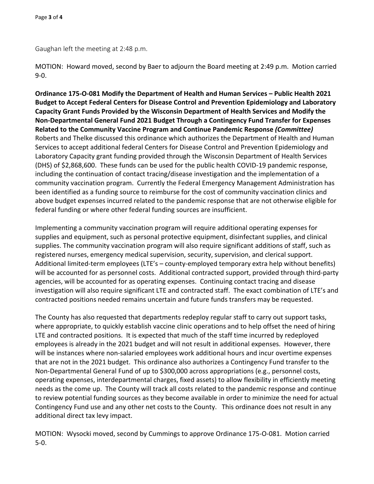Gaughan left the meeting at 2:48 p.m.

MOTION: Howard moved, second by Baer to adjourn the Board meeting at 2:49 p.m. Motion carried 9-0.

**Ordinance 175-O-081 Modify the Department of Health and Human Services – Public Health 2021 Budget to Accept Federal Centers for Disease Control and Prevention Epidemiology and Laboratory Capacity Grant Funds Provided by the Wisconsin Department of Health Services and Modify the Non-Departmental General Fund 2021 Budget Through a Contingency Fund Transfer for Expenses Related to the Community Vaccine Program and Continue Pandemic Response** *(Committee)* Roberts and Thelke discussed this ordinance which authorizes the Department of Health and Human Services to accept additional federal Centers for Disease Control and Prevention Epidemiology and Laboratory Capacity grant funding provided through the Wisconsin Department of Health Services (DHS) of \$2,868,600. These funds can be used for the public health COVID-19 pandemic response, including the continuation of contact tracing/disease investigation and the implementation of a community vaccination program. Currently the Federal Emergency Management Administration has been identified as a funding source to reimburse for the cost of community vaccination clinics and above budget expenses incurred related to the pandemic response that are not otherwise eligible for federal funding or where other federal funding sources are insufficient.

Implementing a community vaccination program will require additional operating expenses for supplies and equipment, such as personal protective equipment, disinfectant supplies, and clinical supplies. The community vaccination program will also require significant additions of staff, such as registered nurses, emergency medical supervision, security, supervision, and clerical support. Additional limited-term employees (LTE's – county-employed temporary extra help without benefits) will be accounted for as personnel costs. Additional contracted support, provided through third-party agencies, will be accounted for as operating expenses. Continuing contact tracing and disease investigation will also require significant LTE and contracted staff. The exact combination of LTE's and contracted positions needed remains uncertain and future funds transfers may be requested.

The County has also requested that departments redeploy regular staff to carry out support tasks, where appropriate, to quickly establish vaccine clinic operations and to help offset the need of hiring LTE and contracted positions. It is expected that much of the staff time incurred by redeployed employees is already in the 2021 budget and will not result in additional expenses. However, there will be instances where non-salaried employees work additional hours and incur overtime expenses that are not in the 2021 budget. This ordinance also authorizes a Contingency Fund transfer to the Non-Departmental General Fund of up to \$300,000 across appropriations (e.g., personnel costs, operating expenses, interdepartmental charges, fixed assets) to allow flexibility in efficiently meeting needs as the come up. The County will track all costs related to the pandemic response and continue to review potential funding sources as they become available in order to minimize the need for actual Contingency Fund use and any other net costs to the County. This ordinance does not result in any additional direct tax levy impact.

MOTION: Wysocki moved, second by Cummings to approve Ordinance 175-O-081. Motion carried 5-0.